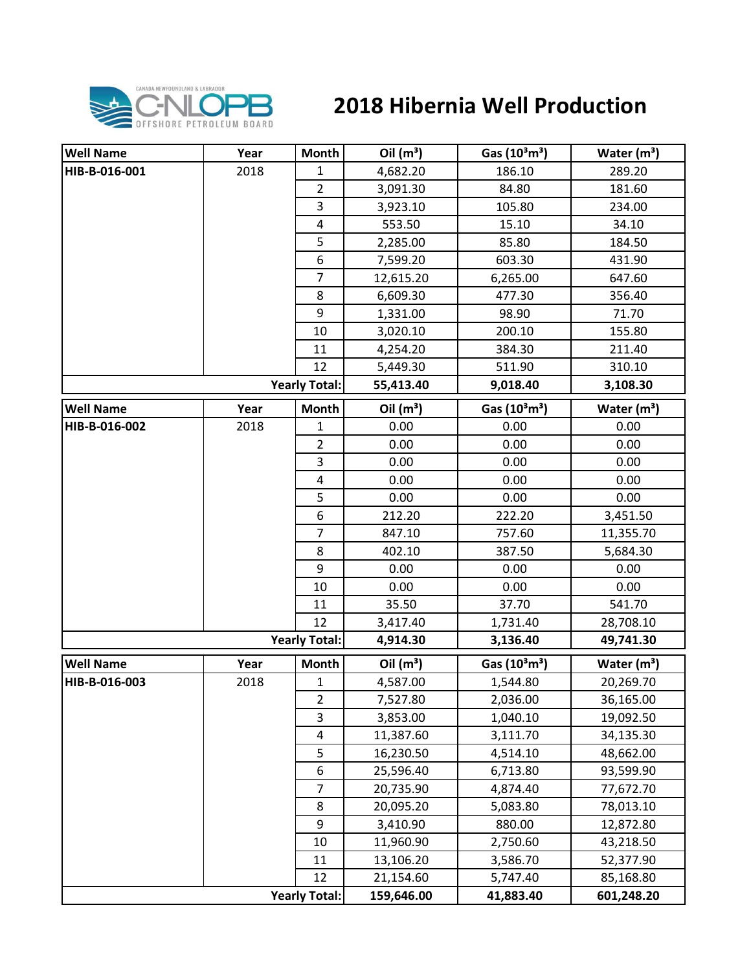

## **2018 Hibernia Well Production**

| <b>Well Name</b> | Year | Month                | Oil $(m^3)$ | Gas $(10^3 \text{m}^3)$               | Water $(m^3)$           |
|------------------|------|----------------------|-------------|---------------------------------------|-------------------------|
| HIB-B-016-001    | 2018 | 1                    | 4,682.20    | 186.10                                | 289.20                  |
|                  |      | $\overline{2}$       | 3,091.30    | 84.80                                 | 181.60                  |
|                  |      | 3                    | 3,923.10    | 105.80                                | 234.00                  |
|                  |      | $\pmb{4}$            | 553.50      | 15.10                                 | 34.10                   |
|                  |      | 5                    | 2,285.00    | 85.80                                 | 184.50                  |
|                  |      | 6                    | 7,599.20    | 603.30                                | 431.90                  |
|                  |      | $\overline{7}$       | 12,615.20   | 6,265.00                              | 647.60                  |
|                  |      | 8                    | 6,609.30    | 477.30                                | 356.40                  |
|                  |      | 9                    | 1,331.00    | 98.90                                 | 71.70                   |
|                  |      | 10                   | 3,020.10    | 200.10                                | 155.80                  |
|                  |      | 11                   | 4,254.20    | 384.30                                | 211.40                  |
|                  |      | 12                   | 5,449.30    | 511.90                                | 310.10                  |
|                  |      | <b>Yearly Total:</b> | 55,413.40   | 9,018.40                              | 3,108.30                |
| <b>Well Name</b> | Year | <b>Month</b>         | Oil $(m^3)$ | Gas (10 <sup>3</sup> m <sup>3</sup> ) | Water $(m^3)$           |
| HIB-B-016-002    | 2018 | 1                    | 0.00        | 0.00                                  | 0.00                    |
|                  |      | $\overline{2}$       | 0.00        | 0.00                                  | 0.00                    |
|                  |      | 3                    | 0.00        | 0.00                                  | 0.00                    |
|                  |      | 4                    | 0.00        | 0.00                                  | 0.00                    |
|                  |      | 5                    | 0.00        | 0.00                                  | 0.00                    |
|                  |      | 6                    | 212.20      | 222.20                                | 3,451.50                |
|                  |      | $\overline{7}$       | 847.10      | 757.60                                | 11,355.70               |
|                  |      | 8                    | 402.10      | 387.50                                | 5,684.30                |
|                  |      | 9                    | 0.00        | 0.00                                  | 0.00                    |
|                  |      | 10                   | 0.00        | 0.00                                  | 0.00                    |
|                  |      | 11                   | 35.50       | 37.70                                 | 541.70                  |
|                  |      | 12                   | 3,417.40    | 1,731.40                              | 28,708.10               |
|                  |      | <b>Yearly Total:</b> | 4,914.30    | 3,136.40                              | 49,741.30               |
| <b>Well Name</b> | Year | <b>Month</b>         | Oil $(m^3)$ | Gas $(10^3 \text{m}^3)$               | Water (m <sup>3</sup> ) |
| HIB-B-016-003    | 2018 | $\mathbf{1}$         | 4,587.00    | 1,544.80                              | 20,269.70               |
|                  |      | $\overline{2}$       | 7,527.80    | 2,036.00                              | 36,165.00               |
|                  |      | 3                    | 3,853.00    | 1,040.10                              | 19,092.50               |
|                  |      | 4                    | 11,387.60   | 3,111.70                              | 34,135.30               |
|                  |      | 5                    | 16,230.50   | 4,514.10                              | 48,662.00               |
|                  |      | 6                    | 25,596.40   | 6,713.80                              | 93,599.90               |
|                  |      | $\overline{7}$       | 20,735.90   | 4,874.40                              | 77,672.70               |
|                  |      | 8                    | 20,095.20   | 5,083.80                              | 78,013.10               |
|                  |      | 9                    | 3,410.90    | 880.00                                | 12,872.80               |
|                  |      | 10                   | 11,960.90   | 2,750.60                              | 43,218.50               |
|                  |      | 11                   | 13,106.20   | 3,586.70                              | 52,377.90               |
|                  |      | 12                   | 21,154.60   | 5,747.40                              | 85,168.80               |
|                  |      | <b>Yearly Total:</b> | 159,646.00  | 41,883.40                             | 601,248.20              |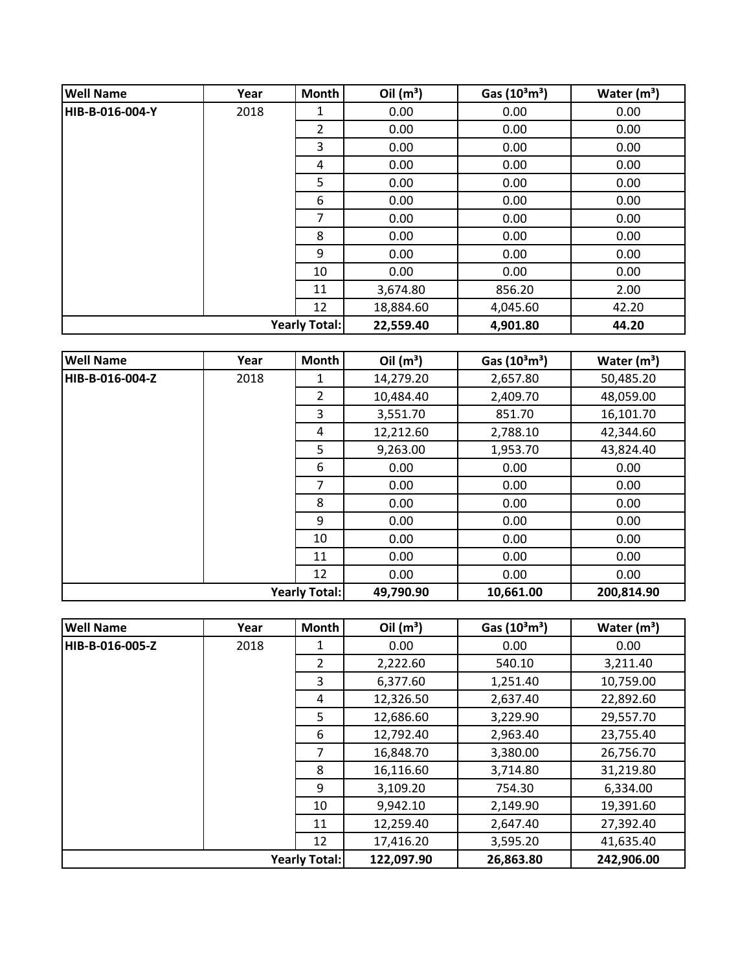| <b>Well Name</b>     | Year | Month          | Oil $(m^3)$ | Gas $(10^3 \text{m}^3)$ | Water $(m^3)$ |
|----------------------|------|----------------|-------------|-------------------------|---------------|
| HIB-B-016-004-Y      | 2018 | 1              | 0.00        | 0.00                    | 0.00          |
|                      |      | $\overline{2}$ | 0.00        | 0.00                    | 0.00          |
|                      |      | 3              | 0.00        | 0.00                    | 0.00          |
|                      |      | 4              | 0.00        | 0.00                    | 0.00          |
|                      |      | 5              | 0.00        | 0.00                    | 0.00          |
|                      |      | 6              | 0.00        | 0.00                    | 0.00          |
|                      |      | 7              | 0.00        | 0.00                    | 0.00          |
|                      |      | 8              | 0.00        | 0.00                    | 0.00          |
|                      |      | 9              | 0.00        | 0.00                    | 0.00          |
|                      |      | 10             | 0.00        | 0.00                    | 0.00          |
|                      |      | 11             | 3,674.80    | 856.20                  | 2.00          |
|                      |      | 12             | 18,884.60   | 4,045.60                | 42.20         |
| <b>Yearly Total:</b> |      |                | 22,559.40   | 4,901.80                | 44.20         |

| <b>Well Name</b> | Year | Month                | Oil $(m^3)$ | Gas $(10^3 \text{m}^3)$ | Water $(m^3)$ |
|------------------|------|----------------------|-------------|-------------------------|---------------|
| HIB-B-016-004-Z  | 2018 | 1                    | 14,279.20   | 2,657.80                | 50,485.20     |
|                  |      | $\overline{2}$       | 10,484.40   | 2,409.70                | 48,059.00     |
|                  |      | 3                    | 3,551.70    | 851.70                  | 16,101.70     |
|                  |      | 4                    | 12,212.60   | 2,788.10                | 42,344.60     |
|                  |      | 5                    | 9,263.00    | 1,953.70                | 43,824.40     |
|                  |      | 6                    | 0.00        | 0.00                    | 0.00          |
|                  |      | $\overline{7}$       | 0.00        | 0.00                    | 0.00          |
|                  |      | 8                    | 0.00        | 0.00                    | 0.00          |
|                  |      | 9                    | 0.00        | 0.00                    | 0.00          |
|                  |      | 10                   | 0.00        | 0.00                    | 0.00          |
|                  |      | 11                   | 0.00        | 0.00                    | 0.00          |
|                  |      | 12                   | 0.00        | 0.00                    | 0.00          |
|                  |      | <b>Yearly Total:</b> | 49,790.90   | 10,661.00               | 200,814.90    |

| <b>Well Name</b> | Year | <b>Month</b>         | Oil $(m^3)$ | Gas $(10^3 \text{m}^3)$ | Water $(m^3)$ |
|------------------|------|----------------------|-------------|-------------------------|---------------|
| HIB-B-016-005-Z  | 2018 |                      | 0.00        | 0.00                    | 0.00          |
|                  |      | $\overline{2}$       | 2,222.60    | 540.10                  | 3,211.40      |
|                  |      | 3                    | 6,377.60    | 1,251.40                | 10,759.00     |
|                  |      | 4                    | 12,326.50   | 2,637.40                | 22,892.60     |
|                  |      | 5                    | 12,686.60   | 3,229.90                | 29,557.70     |
|                  |      | 6                    | 12,792.40   | 2,963.40                | 23,755.40     |
|                  |      | 7                    | 16,848.70   | 3,380.00                | 26,756.70     |
|                  |      | 8                    | 16,116.60   | 3,714.80                | 31,219.80     |
|                  |      | 9                    | 3,109.20    | 754.30                  | 6,334.00      |
|                  |      | 10                   | 9,942.10    | 2,149.90                | 19,391.60     |
|                  |      | 11                   | 12,259.40   | 2,647.40                | 27,392.40     |
|                  |      | 12                   | 17,416.20   | 3,595.20                | 41,635.40     |
|                  |      | <b>Yearly Total:</b> | 122,097.90  | 26,863.80               | 242,906.00    |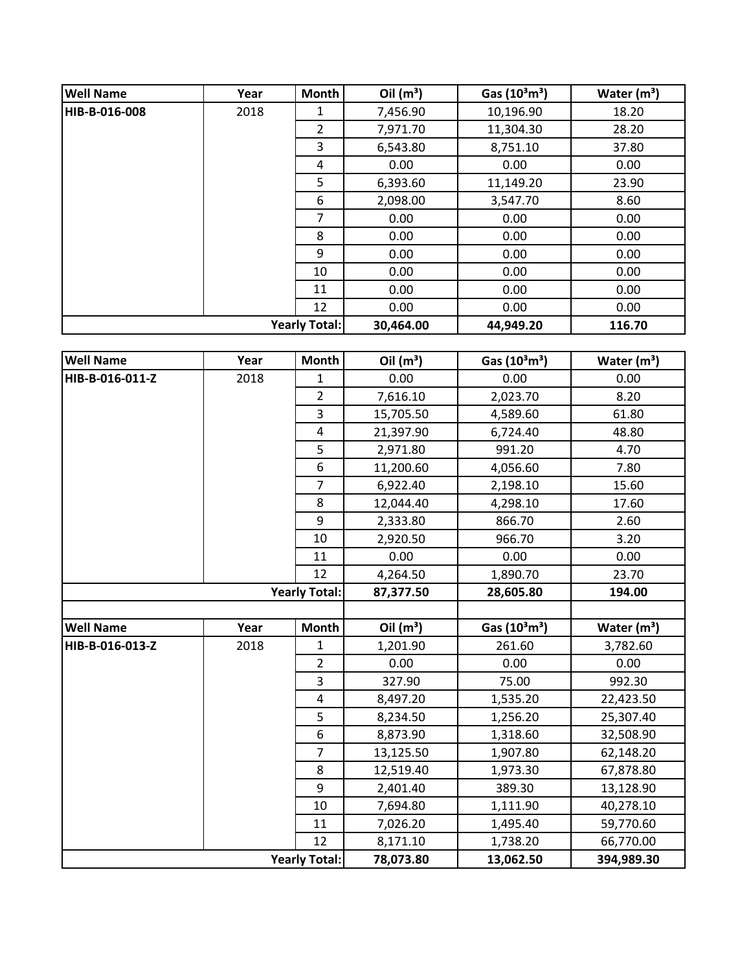| <b>Well Name</b> | Year | <b>Month</b>         | Oil $(m^3)$ | Gas $(10^3 \text{m}^3)$ | Water $(m^3)$ |
|------------------|------|----------------------|-------------|-------------------------|---------------|
| HIB-B-016-008    | 2018 | 1                    | 7,456.90    | 10,196.90               | 18.20         |
|                  |      | $\overline{2}$       | 7,971.70    | 11,304.30               | 28.20         |
|                  |      | 3                    | 6,543.80    | 8,751.10                | 37.80         |
|                  |      | 4                    | 0.00        | 0.00                    | 0.00          |
|                  |      | 5                    | 6,393.60    | 11,149.20               | 23.90         |
|                  |      | 6                    | 2,098.00    | 3,547.70                | 8.60          |
|                  |      | 7                    | 0.00        | 0.00                    | 0.00          |
|                  |      | 8                    | 0.00        | 0.00                    | 0.00          |
|                  |      | 9                    | 0.00        | 0.00                    | 0.00          |
|                  |      | 10                   | 0.00        | 0.00                    | 0.00          |
|                  |      | 11                   | 0.00        | 0.00                    | 0.00          |
|                  |      | 12                   | 0.00        | 0.00                    | 0.00          |
|                  |      | <b>Yearly Total:</b> | 30,464.00   | 44,949.20               | 116.70        |

| <b>Well Name</b> | Year | Month                | Oil $(m^3)$ | Gas (10 <sup>3</sup> m <sup>3</sup> ) | Water $(m3)$  |
|------------------|------|----------------------|-------------|---------------------------------------|---------------|
| HIB-B-016-011-Z  | 2018 | 1                    | 0.00        | 0.00                                  | 0.00          |
|                  |      | $\overline{2}$       | 7,616.10    | 2,023.70                              | 8.20          |
|                  |      | 3                    | 15,705.50   | 4,589.60                              | 61.80         |
|                  |      | 4                    | 21,397.90   | 6,724.40                              | 48.80         |
|                  |      | 5                    | 2,971.80    | 991.20                                | 4.70          |
|                  |      | 6                    | 11,200.60   | 4,056.60                              | 7.80          |
|                  |      | $\overline{7}$       | 6,922.40    | 2,198.10                              | 15.60         |
|                  |      | 8                    | 12,044.40   | 4,298.10                              | 17.60         |
|                  |      | 9                    | 2,333.80    | 866.70                                | 2.60          |
|                  |      | 10                   | 2,920.50    | 966.70                                | 3.20          |
|                  |      | 11                   | 0.00        | 0.00                                  | 0.00          |
|                  |      | 12                   | 4,264.50    | 1,890.70                              | 23.70         |
|                  |      | <b>Yearly Total:</b> | 87,377.50   | 28,605.80                             | 194.00        |
|                  |      |                      |             |                                       |               |
| <b>Well Name</b> | Year | <b>Month</b>         | Oil $(m^3)$ | Gas (10 <sup>3</sup> m <sup>3</sup> ) | Water $(m^3)$ |
| HIB-B-016-013-Z  | 2018 | 1                    | 1,201.90    | 261.60                                | 3,782.60      |
|                  |      | $\overline{2}$       | 0.00        | 0.00                                  | 0.00          |
|                  |      | 3                    | 327.90      | 75.00                                 | 992.30        |
|                  |      | $\overline{4}$       | 8,497.20    | 1,535.20                              | 22,423.50     |
|                  |      | 5                    | 8,234.50    | 1,256.20                              | 25,307.40     |
|                  |      | 6                    | 8,873.90    | 1,318.60                              | 32,508.90     |
|                  |      | $\overline{7}$       | 13,125.50   | 1,907.80                              | 62,148.20     |
|                  |      | 8                    | 12,519.40   | 1,973.30                              | 67,878.80     |
|                  |      | 9                    | 2,401.40    | 389.30                                | 13,128.90     |
|                  |      | 10                   | 7,694.80    | 1,111.90                              | 40,278.10     |
|                  |      | 11                   | 7,026.20    | 1,495.40                              | 59,770.60     |
|                  |      | 12                   | 8,171.10    | 1,738.20                              | 66,770.00     |
|                  |      | <b>Yearly Total:</b> | 78,073.80   | 13,062.50                             | 394,989.30    |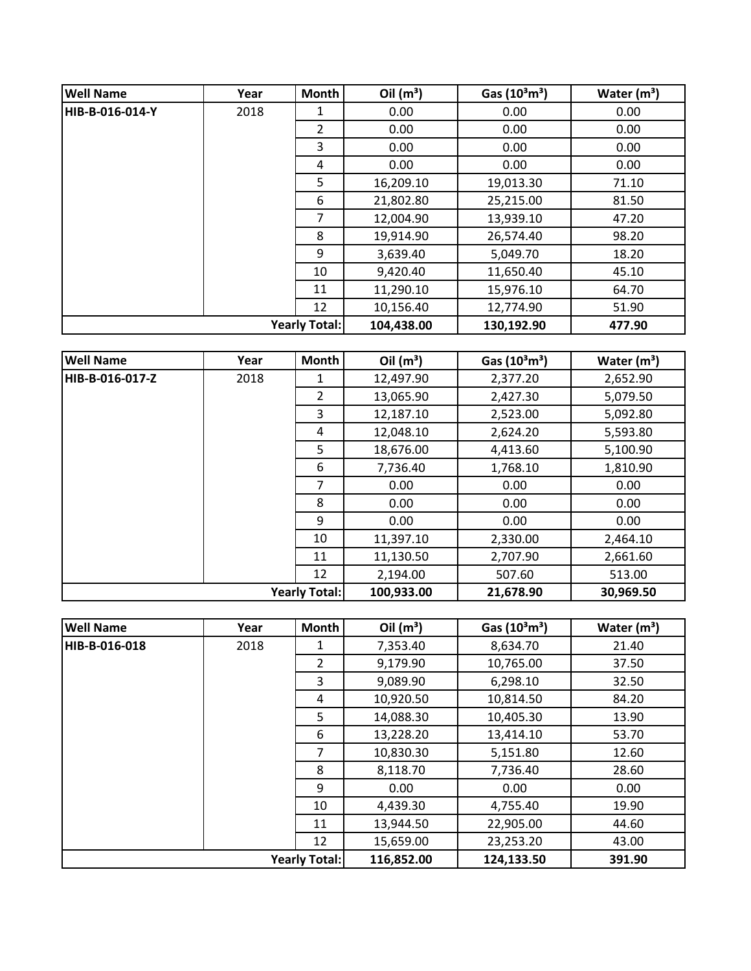| <b>Well Name</b>     | Year | <b>Month</b> | Oil $(m^3)$ | Gas $(10^3 \text{m}^3)$ | Water $(m^3)$ |
|----------------------|------|--------------|-------------|-------------------------|---------------|
| HIB-B-016-014-Y      | 2018 | 1            | 0.00        | 0.00                    | 0.00          |
|                      |      | 2            | 0.00        | 0.00                    | 0.00          |
|                      |      | 3            | 0.00        | 0.00                    | 0.00          |
|                      |      | 4            | 0.00        | 0.00                    | 0.00          |
|                      |      | 5            | 16,209.10   | 19,013.30               | 71.10         |
|                      |      | 6            | 21,802.80   | 25,215.00               | 81.50         |
|                      |      | 7            | 12,004.90   | 13,939.10               | 47.20         |
|                      |      | 8            | 19,914.90   | 26,574.40               | 98.20         |
|                      |      | 9            | 3,639.40    | 5,049.70                | 18.20         |
|                      |      | 10           | 9,420.40    | 11,650.40               | 45.10         |
|                      |      | 11           | 11,290.10   | 15,976.10               | 64.70         |
|                      |      | 12           | 10,156.40   | 12,774.90               | 51.90         |
| <b>Yearly Total:</b> |      |              | 104,438.00  | 130,192.90              | 477.90        |

| <b>Well Name</b>     | Year | Month          | Oil $(m^3)$ | Gas $(10^3 \text{m}^3)$ | Water $(m^3)$ |
|----------------------|------|----------------|-------------|-------------------------|---------------|
| HIB-B-016-017-Z      | 2018 | 1              | 12,497.90   | 2,377.20                | 2,652.90      |
|                      |      | $\overline{2}$ | 13,065.90   | 2,427.30                | 5,079.50      |
|                      |      | 3              | 12,187.10   | 2,523.00                | 5,092.80      |
|                      |      | 4              | 12,048.10   | 2,624.20                | 5,593.80      |
|                      |      | 5              | 18,676.00   | 4,413.60                | 5,100.90      |
|                      |      | 6              | 7,736.40    | 1,768.10                | 1,810.90      |
|                      |      | $\overline{7}$ | 0.00        | 0.00                    | 0.00          |
|                      |      | 8              | 0.00        | 0.00                    | 0.00          |
|                      |      | 9              | 0.00        | 0.00                    | 0.00          |
|                      |      | 10             | 11,397.10   | 2,330.00                | 2,464.10      |
|                      |      | 11             | 11,130.50   | 2,707.90                | 2,661.60      |
|                      |      | 12             | 2,194.00    | 507.60                  | 513.00        |
| <b>Yearly Total:</b> |      |                | 100,933.00  | 21,678.90               | 30,969.50     |

| <b>Well Name</b> | Year | <b>Month</b>         | Oil $(m^3)$ | Gas $(10^3 \text{m}^3)$ | Water $(m^3)$ |
|------------------|------|----------------------|-------------|-------------------------|---------------|
| HIB-B-016-018    | 2018 | 1                    | 7,353.40    | 8,634.70                | 21.40         |
|                  |      | $\overline{2}$       | 9,179.90    | 10,765.00               | 37.50         |
|                  |      | 3                    | 9,089.90    | 6,298.10                | 32.50         |
|                  |      | 4                    | 10,920.50   | 10,814.50               | 84.20         |
|                  |      | 5                    | 14,088.30   | 10,405.30               | 13.90         |
|                  |      | 6                    | 13,228.20   | 13,414.10               | 53.70         |
|                  |      | 7                    | 10,830.30   | 5,151.80                | 12.60         |
|                  |      | 8                    | 8,118.70    | 7,736.40                | 28.60         |
|                  |      | 9                    | 0.00        | 0.00                    | 0.00          |
|                  |      | 10                   | 4,439.30    | 4,755.40                | 19.90         |
|                  |      | 11                   | 13,944.50   | 22,905.00               | 44.60         |
|                  |      | 12                   | 15,659.00   | 23,253.20               | 43.00         |
|                  |      | <b>Yearly Total:</b> | 116,852.00  | 124,133.50              | 391.90        |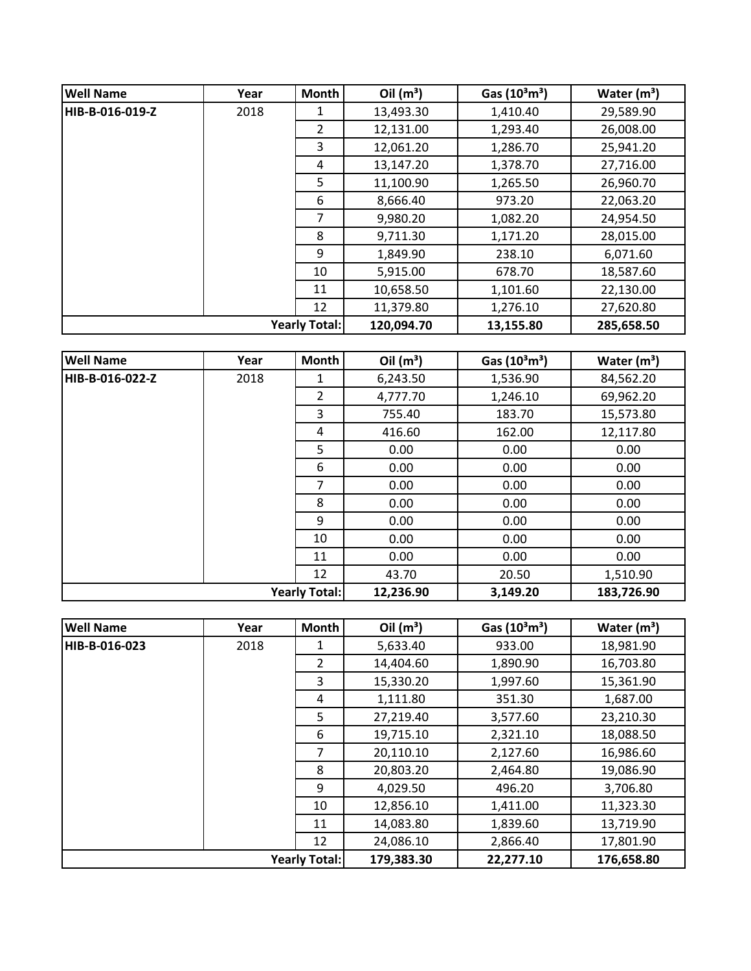| <b>Well Name</b>     | Year | <b>Month</b> | Oil $(m^3)$ | Gas $(10^3 \text{m}^3)$ | Water $(m^3)$ |
|----------------------|------|--------------|-------------|-------------------------|---------------|
| HIB-B-016-019-Z      | 2018 | 1            | 13,493.30   | 1,410.40                | 29,589.90     |
|                      |      | 2            | 12,131.00   | 1,293.40                | 26,008.00     |
|                      |      | 3            | 12,061.20   | 1,286.70                | 25,941.20     |
|                      |      | 4            | 13,147.20   | 1,378.70                | 27,716.00     |
|                      |      | 5            | 11,100.90   | 1,265.50                | 26,960.70     |
|                      |      | 6            | 8,666.40    | 973.20                  | 22,063.20     |
|                      |      | 7            | 9,980.20    | 1,082.20                | 24,954.50     |
|                      |      | 8            | 9,711.30    | 1,171.20                | 28,015.00     |
|                      |      | 9            | 1,849.90    | 238.10                  | 6,071.60      |
|                      |      | 10           | 5,915.00    | 678.70                  | 18,587.60     |
|                      |      | 11           | 10,658.50   | 1,101.60                | 22,130.00     |
|                      |      | 12           | 11,379.80   | 1,276.10                | 27,620.80     |
| <b>Yearly Total:</b> |      |              | 120,094.70  | 13,155.80               | 285,658.50    |

| <b>Well Name</b>     | Year | Month          | Oil $(m^3)$ | Gas $(10^3 \text{m}^3)$ | Water $(m^3)$ |
|----------------------|------|----------------|-------------|-------------------------|---------------|
| HIB-B-016-022-Z      | 2018 | 1              | 6,243.50    | 1,536.90                | 84,562.20     |
|                      |      | $\overline{2}$ | 4,777.70    | 1,246.10                | 69,962.20     |
|                      |      | 3              | 755.40      | 183.70                  | 15,573.80     |
|                      |      | 4              | 416.60      | 162.00                  | 12,117.80     |
|                      |      | 5              | 0.00        | 0.00                    | 0.00          |
|                      |      | 6              | 0.00        | 0.00                    | 0.00          |
|                      |      | $\overline{7}$ | 0.00        | 0.00                    | 0.00          |
|                      |      | 8              | 0.00        | 0.00                    | 0.00          |
|                      |      | 9              | 0.00        | 0.00                    | 0.00          |
|                      |      | 10             | 0.00        | 0.00                    | 0.00          |
|                      |      | 11             | 0.00        | 0.00                    | 0.00          |
|                      |      | 12             | 43.70       | 20.50                   | 1,510.90      |
| <b>Yearly Total:</b> |      |                | 12,236.90   | 3,149.20                | 183,726.90    |

| <b>Well Name</b>     | Year | <b>Month</b>   | Oil $(m^3)$ | Gas $(10^3 \text{m}^3)$ | Water $(m^3)$ |
|----------------------|------|----------------|-------------|-------------------------|---------------|
| HIB-B-016-023        | 2018 |                | 5,633.40    | 933.00                  | 18,981.90     |
|                      |      | $\overline{2}$ | 14,404.60   | 1,890.90                | 16,703.80     |
|                      |      | 3              | 15,330.20   | 1,997.60                | 15,361.90     |
|                      |      | 4              | 1,111.80    | 351.30                  | 1,687.00      |
|                      |      | 5              | 27,219.40   | 3,577.60                | 23,210.30     |
|                      |      | 6              | 19,715.10   | 2,321.10                | 18,088.50     |
|                      |      | 7              | 20,110.10   | 2,127.60                | 16,986.60     |
|                      |      | 8              | 20,803.20   | 2,464.80                | 19,086.90     |
|                      |      | 9              | 4,029.50    | 496.20                  | 3,706.80      |
|                      |      | 10             | 12,856.10   | 1,411.00                | 11,323.30     |
|                      |      | 11             | 14,083.80   | 1,839.60                | 13,719.90     |
|                      |      | 12             | 24,086.10   | 2,866.40                | 17,801.90     |
| <b>Yearly Total:</b> |      |                | 179,383.30  | 22,277.10               | 176,658.80    |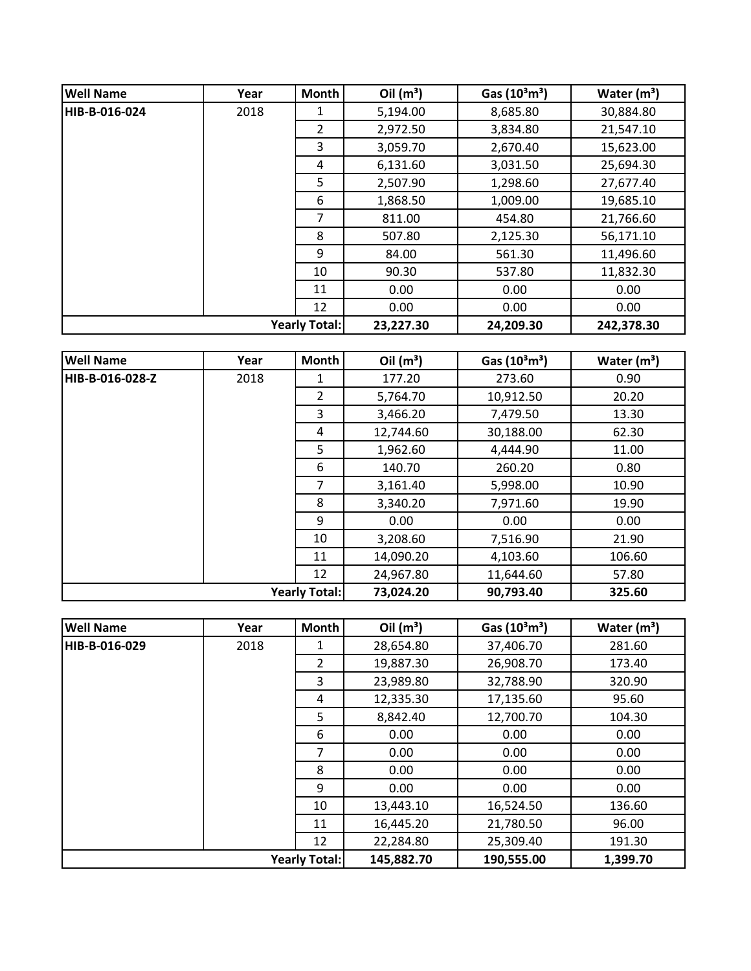| <b>Well Name</b> | Year | Month                | Oil $(m^3)$ | Gas $(10^3 \text{m}^3)$ | Water $(m^3)$ |
|------------------|------|----------------------|-------------|-------------------------|---------------|
| HIB-B-016-024    | 2018 | 1                    | 5,194.00    | 8,685.80                | 30,884.80     |
|                  |      | $\overline{2}$       | 2,972.50    | 3,834.80                | 21,547.10     |
|                  |      | 3                    | 3,059.70    | 2,670.40                | 15,623.00     |
|                  |      | 4                    | 6,131.60    | 3,031.50                | 25,694.30     |
|                  |      | 5                    | 2,507.90    | 1,298.60                | 27,677.40     |
|                  |      | 6                    | 1,868.50    | 1,009.00                | 19,685.10     |
|                  |      | 7                    | 811.00      | 454.80                  | 21,766.60     |
|                  |      | 8                    | 507.80      | 2,125.30                | 56,171.10     |
|                  |      | 9                    | 84.00       | 561.30                  | 11,496.60     |
|                  |      | 10                   | 90.30       | 537.80                  | 11,832.30     |
|                  |      | 11                   | 0.00        | 0.00                    | 0.00          |
|                  |      | 12                   | 0.00        | 0.00                    | 0.00          |
|                  |      | <b>Yearly Total:</b> | 23,227.30   | 24,209.30               | 242,378.30    |

| <b>Well Name</b> | Year | Month                | Oil $(m^3)$ | Gas $(10^3 \text{m}^3)$ | Water $(m^3)$ |
|------------------|------|----------------------|-------------|-------------------------|---------------|
| HIB-B-016-028-Z  | 2018 | 1                    | 177.20      | 273.60                  | 0.90          |
|                  |      | $\overline{2}$       | 5,764.70    | 10,912.50               | 20.20         |
|                  |      | 3                    | 3,466.20    | 7,479.50                | 13.30         |
|                  |      | 4                    | 12,744.60   | 30,188.00               | 62.30         |
|                  |      | 5                    | 1,962.60    | 4,444.90                | 11.00         |
|                  |      | 6                    | 140.70      | 260.20                  | 0.80          |
|                  |      | $\overline{7}$       | 3,161.40    | 5,998.00                | 10.90         |
|                  |      | 8                    | 3,340.20    | 7,971.60                | 19.90         |
|                  |      | 9                    | 0.00        | 0.00                    | 0.00          |
|                  |      | 10                   | 3,208.60    | 7,516.90                | 21.90         |
|                  |      | 11                   | 14,090.20   | 4,103.60                | 106.60        |
|                  |      | 12                   | 24,967.80   | 11,644.60               | 57.80         |
|                  |      | <b>Yearly Total:</b> | 73,024.20   | 90,793.40               | 325.60        |

| <b>Well Name</b>     | Year | <b>Month</b>   | Oil $(m^3)$ | Gas $(10^3 \text{m}^3)$ | Water $(m^3)$ |
|----------------------|------|----------------|-------------|-------------------------|---------------|
| HIB-B-016-029        | 2018 |                | 28,654.80   | 37,406.70               | 281.60        |
|                      |      | $\overline{2}$ | 19,887.30   | 26,908.70               | 173.40        |
|                      |      | 3              | 23,989.80   | 32,788.90               | 320.90        |
|                      |      | 4              | 12,335.30   | 17,135.60               | 95.60         |
|                      |      | 5              | 8,842.40    | 12,700.70               | 104.30        |
|                      |      | 6              | 0.00        | 0.00                    | 0.00          |
|                      |      | $\overline{7}$ | 0.00        | 0.00                    | 0.00          |
|                      |      | 8              | 0.00        | 0.00                    | 0.00          |
|                      |      | 9              | 0.00        | 0.00                    | 0.00          |
|                      |      | 10             | 13,443.10   | 16,524.50               | 136.60        |
|                      |      | 11             | 16,445.20   | 21,780.50               | 96.00         |
|                      |      | 12             | 22,284.80   | 25,309.40               | 191.30        |
| <b>Yearly Total:</b> |      |                | 145,882.70  | 190,555.00              | 1,399.70      |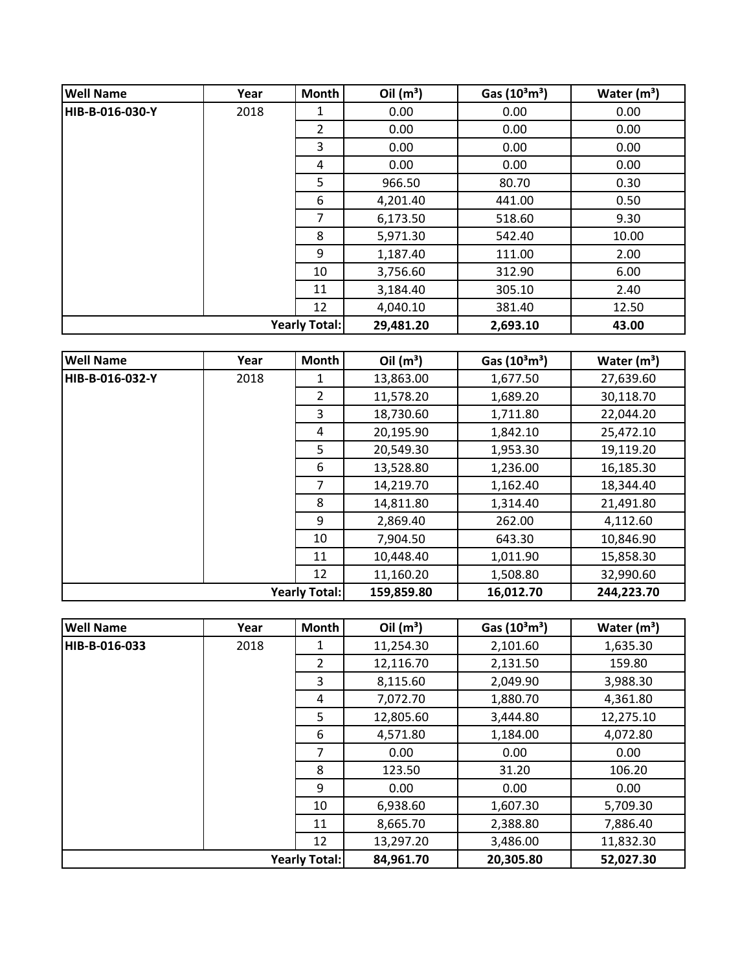| <b>Well Name</b>     | Year | Month          | Oil $(m^3)$ | Gas $(10^3 \text{m}^3)$ | Water $(m^3)$ |
|----------------------|------|----------------|-------------|-------------------------|---------------|
| HIB-B-016-030-Y      | 2018 | 1              | 0.00        | 0.00                    | 0.00          |
|                      |      | $\overline{2}$ | 0.00        | 0.00                    | 0.00          |
|                      |      | 3              | 0.00        | 0.00                    | 0.00          |
|                      |      | 4              | 0.00        | 0.00                    | 0.00          |
|                      |      | 5              | 966.50      | 80.70                   | 0.30          |
|                      |      | 6              | 4,201.40    | 441.00                  | 0.50          |
|                      |      | 7              | 6,173.50    | 518.60                  | 9.30          |
|                      |      | 8              | 5,971.30    | 542.40                  | 10.00         |
|                      |      | 9              | 1,187.40    | 111.00                  | 2.00          |
|                      |      | 10             | 3,756.60    | 312.90                  | 6.00          |
|                      |      | 11             | 3,184.40    | 305.10                  | 2.40          |
|                      |      | 12             | 4,040.10    | 381.40                  | 12.50         |
| <b>Yearly Total:</b> |      |                | 29,481.20   | 2,693.10                | 43.00         |

| <b>Well Name</b> | Year | <b>Month</b>         | Oil $(m^3)$ | Gas $(10^3 \text{m}^3)$ | Water $(m^3)$ |
|------------------|------|----------------------|-------------|-------------------------|---------------|
| HIB-B-016-032-Y  | 2018 | 1                    | 13,863.00   | 1,677.50                | 27,639.60     |
|                  |      | 2                    | 11,578.20   | 1,689.20                | 30,118.70     |
|                  |      | 3                    | 18,730.60   | 1,711.80                | 22,044.20     |
|                  |      | 4                    | 20,195.90   | 1,842.10                | 25,472.10     |
|                  |      | 5                    | 20,549.30   | 1,953.30                | 19,119.20     |
|                  |      | 6                    | 13,528.80   | 1,236.00                | 16,185.30     |
|                  |      | 7                    | 14,219.70   | 1,162.40                | 18,344.40     |
|                  |      | 8                    | 14,811.80   | 1,314.40                | 21,491.80     |
|                  |      | 9                    | 2,869.40    | 262.00                  | 4,112.60      |
|                  |      | 10                   | 7,904.50    | 643.30                  | 10,846.90     |
|                  |      | 11                   | 10,448.40   | 1,011.90                | 15,858.30     |
|                  |      | 12                   | 11,160.20   | 1,508.80                | 32,990.60     |
|                  |      | <b>Yearly Total:</b> | 159,859.80  | 16,012.70               | 244,223.70    |

| <b>Well Name</b>     | Year | <b>Month</b>   | Oil $(m^3)$ | Gas $(10^3 \text{m}^3)$ | Water $(m^3)$ |
|----------------------|------|----------------|-------------|-------------------------|---------------|
| HIB-B-016-033        | 2018 | 1              | 11,254.30   | 2,101.60                | 1,635.30      |
|                      |      | $\overline{2}$ | 12,116.70   | 2,131.50                | 159.80        |
|                      |      | 3              | 8,115.60    | 2,049.90                | 3,988.30      |
|                      |      | 4              | 7,072.70    | 1,880.70                | 4,361.80      |
|                      |      | 5              | 12,805.60   | 3,444.80                | 12,275.10     |
|                      |      | 6              | 4,571.80    | 1,184.00                | 4,072.80      |
|                      |      | 7              | 0.00        | 0.00                    | 0.00          |
|                      |      | 8              | 123.50      | 31.20                   | 106.20        |
|                      |      | 9              | 0.00        | 0.00                    | 0.00          |
|                      |      | 10             | 6,938.60    | 1,607.30                | 5,709.30      |
|                      |      | 11             | 8,665.70    | 2,388.80                | 7,886.40      |
|                      |      | 12             | 13,297.20   | 3,486.00                | 11,832.30     |
| <b>Yearly Total:</b> |      |                | 84,961.70   | 20,305.80               | 52,027.30     |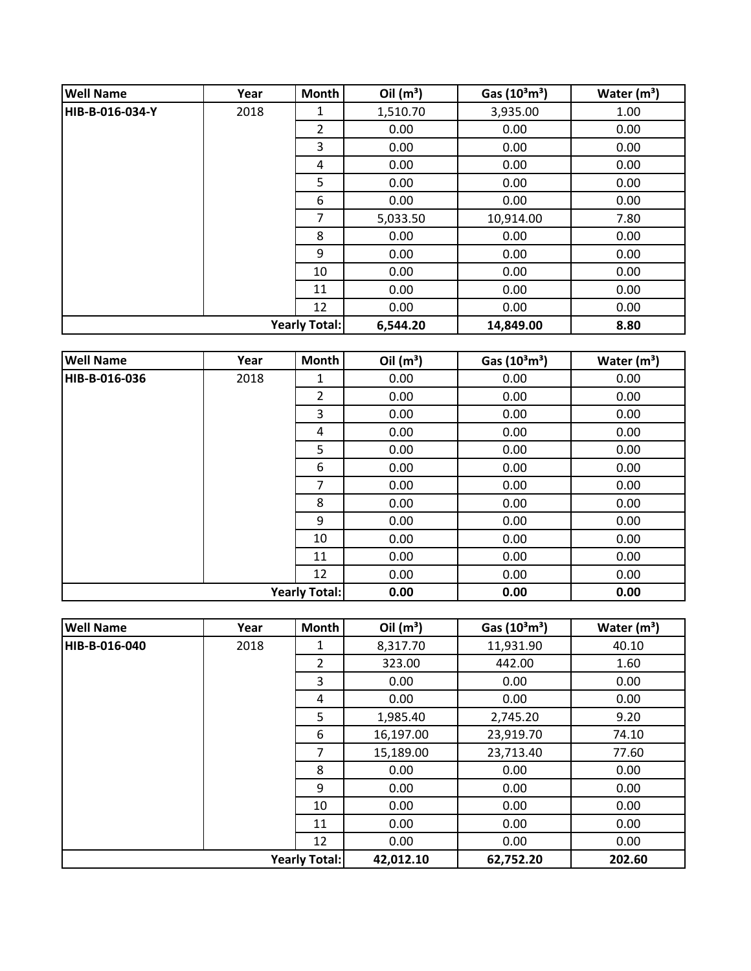| <b>Well Name</b> | Year | Month                | Oil $(m^3)$ | Gas $(10^3 \text{m}^3)$ | Water $(m^3)$ |
|------------------|------|----------------------|-------------|-------------------------|---------------|
| HIB-B-016-034-Y  | 2018 | 1                    | 1,510.70    | 3,935.00                | 1.00          |
|                  |      | $\overline{2}$       | 0.00        | 0.00                    | 0.00          |
|                  |      | 3                    | 0.00        | 0.00                    | 0.00          |
|                  |      | 4                    | 0.00        | 0.00                    | 0.00          |
|                  |      | 5                    | 0.00        | 0.00                    | 0.00          |
|                  |      | 6                    | 0.00        | 0.00                    | 0.00          |
|                  |      | 7                    | 5,033.50    | 10,914.00               | 7.80          |
|                  |      | 8                    | 0.00        | 0.00                    | 0.00          |
|                  |      | 9                    | 0.00        | 0.00                    | 0.00          |
|                  |      | 10                   | 0.00        | 0.00                    | 0.00          |
|                  |      | 11                   | 0.00        | 0.00                    | 0.00          |
|                  |      | 12                   | 0.00        | 0.00                    | 0.00          |
|                  |      | <b>Yearly Total:</b> | 6,544.20    | 14,849.00               | 8.80          |

| <b>Well Name</b> | Year | Month                | Oil $(m^3)$ | Gas $(10^3 \text{m}^3)$ | Water $(m^3)$ |
|------------------|------|----------------------|-------------|-------------------------|---------------|
| HIB-B-016-036    | 2018 | 1                    | 0.00        | 0.00                    | 0.00          |
|                  |      | $\overline{2}$       | 0.00        | 0.00                    | 0.00          |
|                  |      | 3                    | 0.00        | 0.00                    | 0.00          |
|                  |      | 4                    | 0.00        | 0.00                    | 0.00          |
|                  |      | 5                    | 0.00        | 0.00                    | 0.00          |
|                  |      | 6                    | 0.00        | 0.00                    | 0.00          |
|                  |      | 7                    | 0.00        | 0.00                    | 0.00          |
|                  |      | 8                    | 0.00        | 0.00                    | 0.00          |
|                  |      | 9                    | 0.00        | 0.00                    | 0.00          |
|                  |      | 10                   | 0.00        | 0.00                    | 0.00          |
|                  |      | 11                   | 0.00        | 0.00                    | 0.00          |
|                  |      | 12                   | 0.00        | 0.00                    | 0.00          |
|                  |      | <b>Yearly Total:</b> | 0.00        | 0.00                    | 0.00          |

| <b>Well Name</b>     | Year | Month          | Oil $(m^3)$ | Gas $(10^3 \text{m}^3)$ | Water $(m^3)$ |
|----------------------|------|----------------|-------------|-------------------------|---------------|
| HIB-B-016-040        | 2018 | 1              | 8,317.70    | 11,931.90               | 40.10         |
|                      |      | $\overline{2}$ | 323.00      | 442.00                  | 1.60          |
|                      |      | 3              | 0.00        | 0.00                    | 0.00          |
|                      |      | 4              | 0.00        | 0.00                    | 0.00          |
|                      |      | 5              | 1,985.40    | 2,745.20                | 9.20          |
|                      |      | 6              | 16,197.00   | 23,919.70               | 74.10         |
|                      |      | 7              | 15,189.00   | 23,713.40               | 77.60         |
|                      |      | 8              | 0.00        | 0.00                    | 0.00          |
|                      |      | 9              | 0.00        | 0.00                    | 0.00          |
|                      |      | 10             | 0.00        | 0.00                    | 0.00          |
|                      |      | 11             | 0.00        | 0.00                    | 0.00          |
|                      |      | 12             | 0.00        | 0.00                    | 0.00          |
| <b>Yearly Total:</b> |      |                | 42,012.10   | 62,752.20               | 202.60        |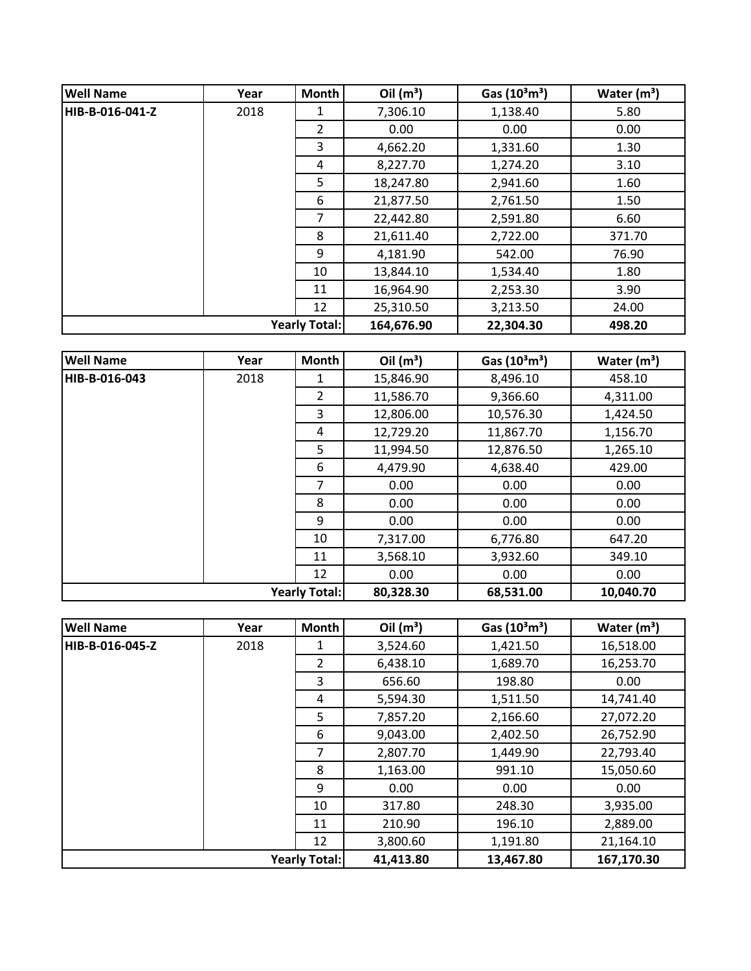| <b>Well Name</b> | Year                 | <b>Month</b>   | Oil $(m^3)$ | Gas $(10^3 \text{m}^3)$ | Water $(m^3)$ |
|------------------|----------------------|----------------|-------------|-------------------------|---------------|
| HIB-B-016-041-Z  | 2018                 | 1              | 7,306.10    | 1,138.40                | 5.80          |
|                  |                      | $\overline{2}$ | 0.00        | 0.00                    | 0.00          |
|                  |                      | 3              | 4,662.20    | 1,331.60                | 1.30          |
|                  |                      | 4              | 8,227.70    | 1,274.20                | 3.10          |
|                  |                      | 5              | 18,247.80   | 2,941.60                | 1.60          |
|                  |                      | 6              | 21,877.50   | 2,761.50                | 1.50          |
|                  |                      | 7              | 22,442.80   | 2,591.80                | 6.60          |
|                  |                      | 8              | 21,611.40   | 2,722.00                | 371.70        |
|                  |                      | 9              | 4,181.90    | 542.00                  | 76.90         |
|                  |                      | 10             | 13,844.10   | 1,534.40                | 1.80          |
|                  |                      | 11             | 16,964.90   | 2,253.30                | 3.90          |
|                  |                      | 12             | 25,310.50   | 3,213.50                | 24.00         |
|                  | <b>Yearly Total:</b> |                | 164,676.90  | 22,304.30               | 498.20        |

| <b>Well Name</b> | Year | Month                | Oil $(m^3)$ | Gas $(10^3 \text{m}^3)$ | Water $(m^3)$ |
|------------------|------|----------------------|-------------|-------------------------|---------------|
| HIB-B-016-043    | 2018 | 1                    | 15,846.90   | 8,496.10                | 458.10        |
|                  |      | $\overline{2}$       | 11,586.70   | 9,366.60                | 4,311.00      |
|                  |      | 3                    | 12,806.00   | 10,576.30               | 1,424.50      |
|                  |      | 4                    | 12,729.20   | 11,867.70               | 1,156.70      |
|                  |      | 5                    | 11,994.50   | 12,876.50               | 1,265.10      |
|                  |      | 6                    | 4,479.90    | 4,638.40                | 429.00        |
|                  |      | 7                    | 0.00        | 0.00                    | 0.00          |
|                  |      | 8                    | 0.00        | 0.00                    | 0.00          |
|                  |      | 9                    | 0.00        | 0.00                    | 0.00          |
|                  |      | 10                   | 7,317.00    | 6,776.80                | 647.20        |
|                  |      | 11                   | 3,568.10    | 3,932.60                | 349.10        |
|                  |      | 12                   | 0.00        | 0.00                    | 0.00          |
|                  |      | <b>Yearly Total:</b> | 80,328.30   | 68,531.00               | 10,040.70     |

| <b>Well Name</b>     | Year | <b>Month</b>   | Oil $(m^3)$ | Gas $(10^3 \text{m}^3)$ | Water $(m^3)$ |
|----------------------|------|----------------|-------------|-------------------------|---------------|
| HIB-B-016-045-Z      | 2018 | 1              | 3,524.60    | 1,421.50                | 16,518.00     |
|                      |      | $\overline{2}$ | 6,438.10    | 1,689.70                | 16,253.70     |
|                      |      | 3              | 656.60      | 198.80                  | 0.00          |
|                      |      | 4              | 5,594.30    | 1,511.50                | 14,741.40     |
|                      |      | 5              | 7,857.20    | 2,166.60                | 27,072.20     |
|                      |      | 6              | 9,043.00    | 2,402.50                | 26,752.90     |
|                      |      | 7              | 2,807.70    | 1,449.90                | 22,793.40     |
|                      |      | 8              | 1,163.00    | 991.10                  | 15,050.60     |
|                      |      | 9              | 0.00        | 0.00                    | 0.00          |
|                      |      | 10             | 317.80      | 248.30                  | 3,935.00      |
|                      |      | 11             | 210.90      | 196.10                  | 2,889.00      |
|                      |      | 12             | 3,800.60    | 1,191.80                | 21,164.10     |
| <b>Yearly Total:</b> |      |                | 41,413.80   | 13,467.80               | 167,170.30    |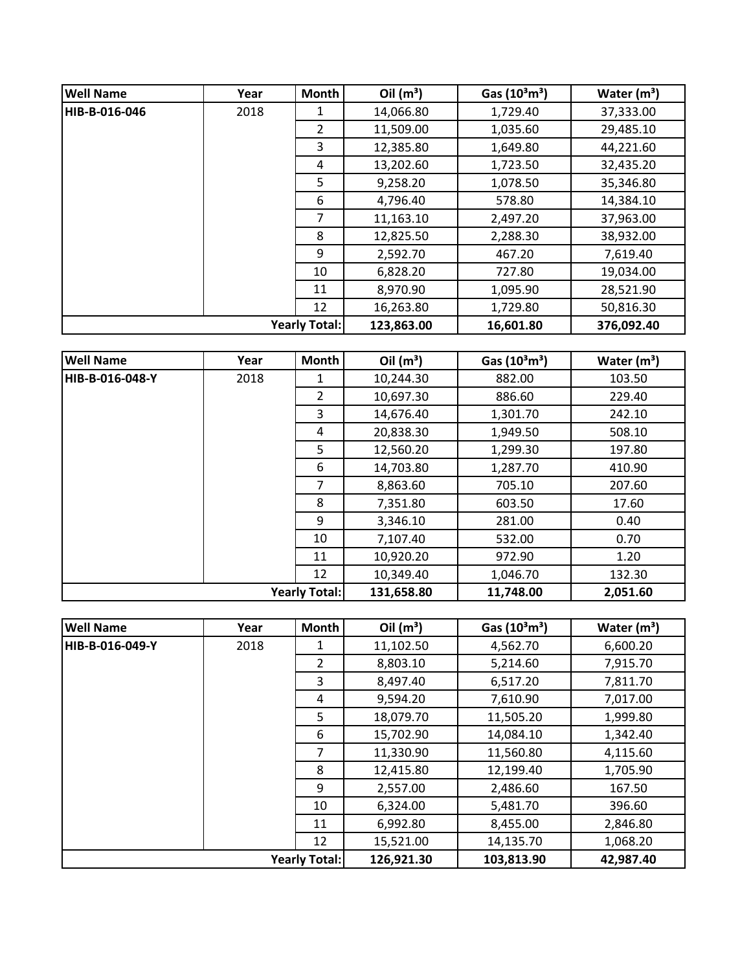| <b>Well Name</b>     | Year | <b>Month</b>   | Oil $(m^3)$ | Gas $(10^3 \text{m}^3)$ | Water $(m^3)$ |
|----------------------|------|----------------|-------------|-------------------------|---------------|
| HIB-B-016-046        | 2018 | 1              | 14,066.80   | 1,729.40                | 37,333.00     |
|                      |      | $\overline{2}$ | 11,509.00   | 1,035.60                | 29,485.10     |
|                      |      | 3              | 12,385.80   | 1,649.80                | 44,221.60     |
|                      |      | 4              | 13,202.60   | 1,723.50                | 32,435.20     |
|                      |      | 5              | 9,258.20    | 1,078.50                | 35,346.80     |
|                      |      | 6              | 4,796.40    | 578.80                  | 14,384.10     |
|                      |      | 7              | 11,163.10   | 2,497.20                | 37,963.00     |
|                      |      | 8              | 12,825.50   | 2,288.30                | 38,932.00     |
|                      |      | 9              | 2,592.70    | 467.20                  | 7,619.40      |
|                      |      | 10             | 6,828.20    | 727.80                  | 19,034.00     |
|                      |      | 11             | 8,970.90    | 1,095.90                | 28,521.90     |
|                      |      | 12             | 16,263.80   | 1,729.80                | 50,816.30     |
| <b>Yearly Total:</b> |      |                | 123,863.00  | 16,601.80               | 376,092.40    |

| <b>Well Name</b> | Year | <b>Month</b>         | Oil $(m^3)$ | Gas $(10^3 \text{m}^3)$ | Water $(m^3)$ |
|------------------|------|----------------------|-------------|-------------------------|---------------|
| HIB-B-016-048-Y  | 2018 | 1                    | 10,244.30   | 882.00                  | 103.50        |
|                  |      | $\overline{2}$       | 10,697.30   | 886.60                  | 229.40        |
|                  |      | 3                    | 14,676.40   | 1,301.70                | 242.10        |
|                  |      | 4                    | 20,838.30   | 1,949.50                | 508.10        |
|                  |      | 5                    | 12,560.20   | 1,299.30                | 197.80        |
|                  |      | 6                    | 14,703.80   | 1,287.70                | 410.90        |
|                  |      | 7                    | 8,863.60    | 705.10                  | 207.60        |
|                  |      | 8                    | 7,351.80    | 603.50                  | 17.60         |
|                  |      | 9                    | 3,346.10    | 281.00                  | 0.40          |
|                  |      | 10                   | 7,107.40    | 532.00                  | 0.70          |
|                  |      | 11                   | 10,920.20   | 972.90                  | 1.20          |
|                  |      | 12                   | 10,349.40   | 1,046.70                | 132.30        |
|                  |      | <b>Yearly Total:</b> | 131,658.80  | 11,748.00               | 2,051.60      |

| <b>Well Name</b>     | Year | <b>Month</b>   | Oil $(m^3)$ | Gas $(10^3 \text{m}^3)$ | Water $(m^3)$ |
|----------------------|------|----------------|-------------|-------------------------|---------------|
| HIB-B-016-049-Y      | 2018 | 1              | 11,102.50   | 4,562.70                | 6,600.20      |
|                      |      | $\overline{2}$ | 8,803.10    | 5,214.60                | 7,915.70      |
|                      |      | 3              | 8,497.40    | 6,517.20                | 7,811.70      |
|                      |      | 4              | 9,594.20    | 7,610.90                | 7,017.00      |
|                      |      | 5              | 18,079.70   | 11,505.20               | 1,999.80      |
|                      |      | 6              | 15,702.90   | 14,084.10               | 1,342.40      |
|                      |      | 7              | 11,330.90   | 11,560.80               | 4,115.60      |
|                      |      | 8              | 12,415.80   | 12,199.40               | 1,705.90      |
|                      |      | 9              | 2,557.00    | 2,486.60                | 167.50        |
|                      |      | 10             | 6,324.00    | 5,481.70                | 396.60        |
|                      |      | 11             | 6,992.80    | 8,455.00                | 2,846.80      |
|                      |      | 12             | 15,521.00   | 14,135.70               | 1,068.20      |
| <b>Yearly Total:</b> |      |                | 126,921.30  | 103,813.90              | 42,987.40     |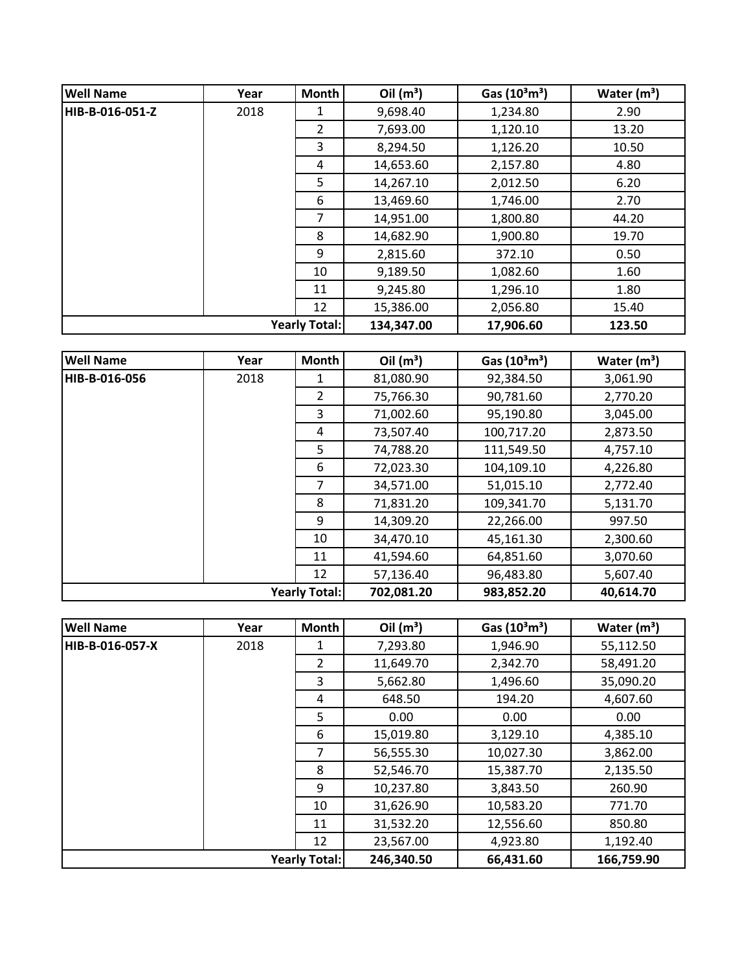| <b>Well Name</b> | Year | <b>Month</b>         | Oil $(m^3)$ | Gas $(10^3 \text{m}^3)$ | Water $(m^3)$ |
|------------------|------|----------------------|-------------|-------------------------|---------------|
| HIB-B-016-051-Z  | 2018 | 1                    | 9,698.40    | 1,234.80                | 2.90          |
|                  |      | $\overline{2}$       | 7,693.00    | 1,120.10                | 13.20         |
|                  |      | 3                    | 8,294.50    | 1,126.20                | 10.50         |
|                  |      | 4                    | 14,653.60   | 2,157.80                | 4.80          |
|                  |      | 5                    | 14,267.10   | 2,012.50                | 6.20          |
|                  |      | 6                    | 13,469.60   | 1,746.00                | 2.70          |
|                  |      | 7                    | 14,951.00   | 1,800.80                | 44.20         |
|                  |      | 8                    | 14,682.90   | 1,900.80                | 19.70         |
|                  |      | 9                    | 2,815.60    | 372.10                  | 0.50          |
|                  |      | 10                   | 9,189.50    | 1,082.60                | 1.60          |
|                  |      | 11                   | 9,245.80    | 1,296.10                | 1.80          |
|                  |      | 12                   | 15,386.00   | 2,056.80                | 15.40         |
|                  |      | <b>Yearly Total:</b> | 134,347.00  | 17,906.60               | 123.50        |

| <b>Well Name</b>     | Year | Month          | Oil $(m^3)$ | Gas $(10^3 \text{m}^3)$ | Water $(m^3)$ |
|----------------------|------|----------------|-------------|-------------------------|---------------|
| HIB-B-016-056        | 2018 | 1              | 81,080.90   | 92,384.50               | 3,061.90      |
|                      |      | $\overline{2}$ | 75,766.30   | 90,781.60               | 2,770.20      |
|                      |      | 3              | 71,002.60   | 95,190.80               | 3,045.00      |
|                      |      | 4              | 73,507.40   | 100,717.20              | 2,873.50      |
|                      |      | 5              | 74,788.20   | 111,549.50              | 4,757.10      |
|                      |      | 6              | 72,023.30   | 104,109.10              | 4,226.80      |
|                      |      | $\overline{7}$ | 34,571.00   | 51,015.10               | 2,772.40      |
|                      |      | 8              | 71,831.20   | 109,341.70              | 5,131.70      |
|                      |      | 9              | 14,309.20   | 22,266.00               | 997.50        |
|                      |      | 10             | 34,470.10   | 45,161.30               | 2,300.60      |
|                      |      | 11             | 41,594.60   | 64,851.60               | 3,070.60      |
|                      |      | 12             | 57,136.40   | 96,483.80               | 5,607.40      |
| <b>Yearly Total:</b> |      |                | 702,081.20  | 983,852.20              | 40,614.70     |

| <b>Well Name</b>     | Year | Month          | Oil $(m^3)$ | Gas $(10^3 \text{m}^3)$ | Water $(m^3)$ |
|----------------------|------|----------------|-------------|-------------------------|---------------|
| HIB-B-016-057-X      | 2018 |                | 7,293.80    | 1,946.90                | 55,112.50     |
|                      |      | $\overline{2}$ | 11,649.70   | 2,342.70                | 58,491.20     |
|                      |      | 3              | 5,662.80    | 1,496.60                | 35,090.20     |
|                      |      | 4              | 648.50      | 194.20                  | 4,607.60      |
|                      |      | 5.             | 0.00        | 0.00                    | 0.00          |
|                      |      | 6              | 15,019.80   | 3,129.10                | 4,385.10      |
|                      |      | 7              | 56,555.30   | 10,027.30               | 3,862.00      |
|                      |      | 8              | 52,546.70   | 15,387.70               | 2,135.50      |
|                      |      | 9              | 10,237.80   | 3,843.50                | 260.90        |
|                      |      | 10             | 31,626.90   | 10,583.20               | 771.70        |
|                      |      | 11             | 31,532.20   | 12,556.60               | 850.80        |
|                      |      | 12             | 23,567.00   | 4,923.80                | 1,192.40      |
| <b>Yearly Total:</b> |      |                | 246,340.50  | 66,431.60               | 166,759.90    |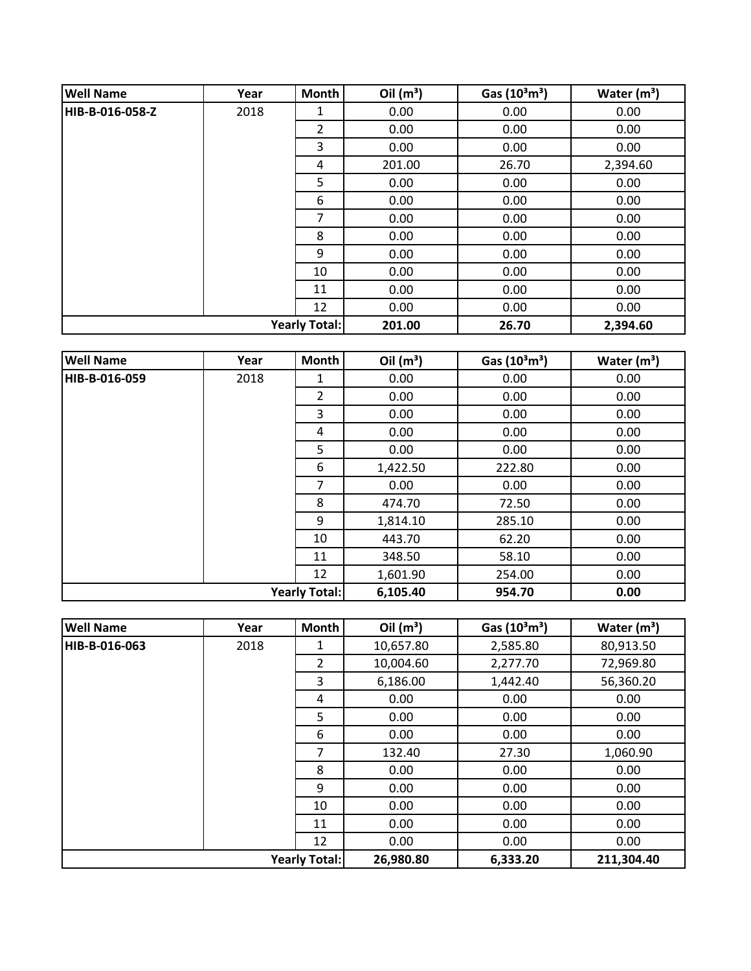| <b>Well Name</b>     | Year | Month          | Oil $(m^3)$ | Gas $(10^3 \text{m}^3)$ | Water $(m^3)$ |
|----------------------|------|----------------|-------------|-------------------------|---------------|
| HIB-B-016-058-Z      | 2018 | 1              | 0.00        | 0.00                    | 0.00          |
|                      |      | $\overline{2}$ | 0.00        | 0.00                    | 0.00          |
|                      |      | 3              | 0.00        | 0.00                    | 0.00          |
|                      |      | 4              | 201.00      | 26.70                   | 2,394.60      |
|                      |      | 5              | 0.00        | 0.00                    | 0.00          |
|                      |      | 6              | 0.00        | 0.00                    | 0.00          |
|                      |      | 7              | 0.00        | 0.00                    | 0.00          |
|                      |      | 8              | 0.00        | 0.00                    | 0.00          |
|                      |      | 9              | 0.00        | 0.00                    | 0.00          |
|                      |      | 10             | 0.00        | 0.00                    | 0.00          |
|                      |      | 11             | 0.00        | 0.00                    | 0.00          |
|                      |      | 12             | 0.00        | 0.00                    | 0.00          |
| <b>Yearly Total:</b> |      | 201.00         | 26.70       | 2,394.60                |               |

| <b>Well Name</b>     | Year | Month          | Oil $(m^3)$ | Gas $(10^3 \text{m}^3)$ | Water $(m^3)$ |
|----------------------|------|----------------|-------------|-------------------------|---------------|
| HIB-B-016-059        | 2018 | 1              | 0.00        | 0.00                    | 0.00          |
|                      |      | $\overline{2}$ | 0.00        | 0.00                    | 0.00          |
|                      |      | 3              | 0.00        | 0.00                    | 0.00          |
|                      |      | 4              | 0.00        | 0.00                    | 0.00          |
|                      |      | 5              | 0.00        | 0.00                    | 0.00          |
|                      |      | 6              | 1,422.50    | 222.80                  | 0.00          |
|                      |      | 7              | 0.00        | 0.00                    | 0.00          |
|                      |      | 8              | 474.70      | 72.50                   | 0.00          |
|                      |      | 9              | 1,814.10    | 285.10                  | 0.00          |
|                      |      | 10             | 443.70      | 62.20                   | 0.00          |
|                      |      | 11             | 348.50      | 58.10                   | 0.00          |
|                      |      | 12             | 1,601.90    | 254.00                  | 0.00          |
| <b>Yearly Total:</b> |      |                | 6,105.40    | 954.70                  | 0.00          |

| <b>Well Name</b>     | Year | Month          | Oil $(m^3)$ | Gas $(10^3 \text{m}^3)$ | Water $(m^3)$ |
|----------------------|------|----------------|-------------|-------------------------|---------------|
| HIB-B-016-063        | 2018 | 1              | 10,657.80   | 2,585.80                | 80,913.50     |
|                      |      | $\overline{2}$ | 10,004.60   | 2,277.70                | 72,969.80     |
|                      |      | 3              | 6,186.00    | 1,442.40                | 56,360.20     |
|                      |      | 4              | 0.00        | 0.00                    | 0.00          |
|                      |      | 5              | 0.00        | 0.00                    | 0.00          |
|                      |      | 6              | 0.00        | 0.00                    | 0.00          |
|                      |      | 7              | 132.40      | 27.30                   | 1,060.90      |
|                      |      | 8              | 0.00        | 0.00                    | 0.00          |
|                      |      | 9              | 0.00        | 0.00                    | 0.00          |
|                      |      | 10             | 0.00        | 0.00                    | 0.00          |
|                      |      | 11             | 0.00        | 0.00                    | 0.00          |
|                      |      | 12             | 0.00        | 0.00                    | 0.00          |
| <b>Yearly Total:</b> |      |                | 26,980.80   | 6,333.20                | 211,304.40    |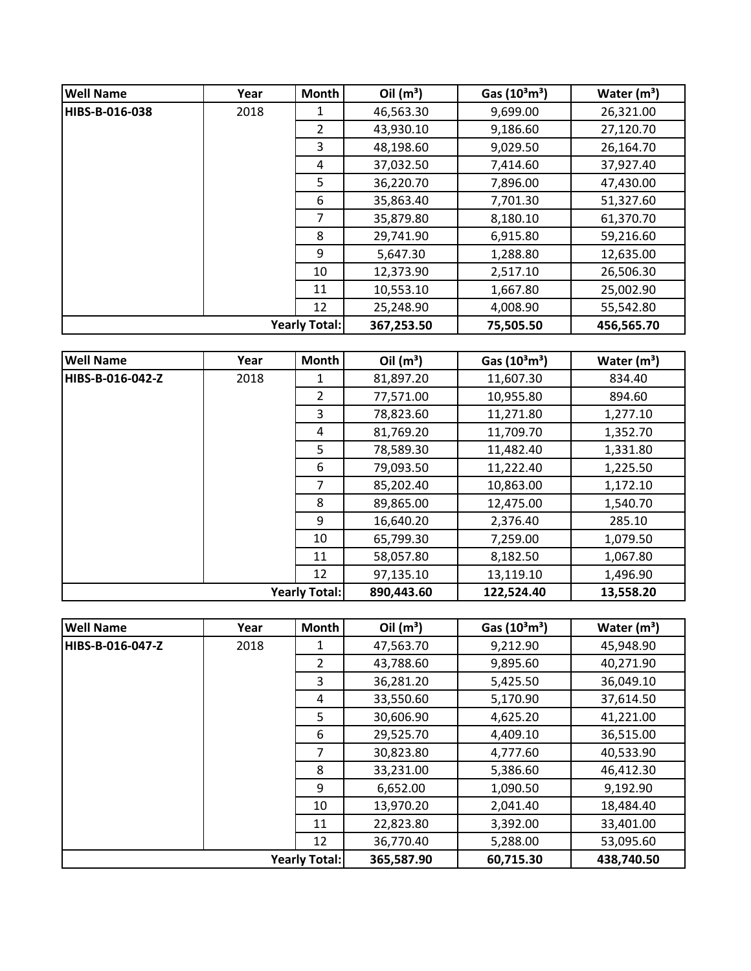| <b>Well Name</b> | Year | <b>Month</b>         | Oil $(m^3)$ | Gas $(10^3 \text{m}^3)$ | Water $(m^3)$ |
|------------------|------|----------------------|-------------|-------------------------|---------------|
| HIBS-B-016-038   | 2018 | 1                    | 46,563.30   | 9,699.00                | 26,321.00     |
|                  |      | $\mathcal{P}$        | 43,930.10   | 9,186.60                | 27,120.70     |
|                  |      | 3                    | 48,198.60   | 9,029.50                | 26,164.70     |
|                  |      | 4                    | 37,032.50   | 7,414.60                | 37,927.40     |
|                  |      | 5                    | 36,220.70   | 7,896.00                | 47,430.00     |
|                  |      | 6                    | 35,863.40   | 7,701.30                | 51,327.60     |
|                  |      | 7                    | 35,879.80   | 8,180.10                | 61,370.70     |
|                  |      | 8                    | 29,741.90   | 6,915.80                | 59,216.60     |
|                  |      | 9                    | 5,647.30    | 1,288.80                | 12,635.00     |
|                  |      | 10                   | 12,373.90   | 2,517.10                | 26,506.30     |
|                  |      | 11                   | 10,553.10   | 1,667.80                | 25,002.90     |
|                  |      | 12                   | 25,248.90   | 4,008.90                | 55,542.80     |
|                  |      | <b>Yearly Total:</b> | 367,253.50  | 75,505.50               | 456,565.70    |

| <b>Well Name</b> | Year | <b>Month</b>         | Oil $(m^3)$ | Gas $(10^3 \text{m}^3)$ | Water $(m^3)$ |
|------------------|------|----------------------|-------------|-------------------------|---------------|
| HIBS-B-016-042-Z | 2018 | 1                    | 81,897.20   | 11,607.30               | 834.40        |
|                  |      | $\overline{2}$       | 77,571.00   | 10,955.80               | 894.60        |
|                  |      | 3                    | 78,823.60   | 11,271.80               | 1,277.10      |
|                  |      | 4                    | 81,769.20   | 11,709.70               | 1,352.70      |
|                  |      | 5                    | 78,589.30   | 11,482.40               | 1,331.80      |
|                  |      | 6                    | 79,093.50   | 11,222.40               | 1,225.50      |
|                  |      | 7                    | 85,202.40   | 10,863.00               | 1,172.10      |
|                  |      | 8                    | 89,865.00   | 12,475.00               | 1,540.70      |
|                  |      | 9                    | 16,640.20   | 2,376.40                | 285.10        |
|                  |      | 10                   | 65,799.30   | 7,259.00                | 1,079.50      |
|                  |      | 11                   | 58,057.80   | 8,182.50                | 1,067.80      |
|                  |      | 12                   | 97,135.10   | 13,119.10               | 1,496.90      |
|                  |      | <b>Yearly Total:</b> | 890,443.60  | 122,524.40              | 13,558.20     |

| <b>Well Name</b>     | Year | Month          | Oil $(m^3)$ | Gas $(10^3 \text{m}^3)$ | Water $(m^3)$ |
|----------------------|------|----------------|-------------|-------------------------|---------------|
| HIBS-B-016-047-Z     | 2018 |                | 47,563.70   | 9,212.90                | 45,948.90     |
|                      |      | $\overline{2}$ | 43,788.60   | 9,895.60                | 40,271.90     |
|                      |      | 3              | 36,281.20   | 5,425.50                | 36,049.10     |
|                      |      | 4              | 33,550.60   | 5,170.90                | 37,614.50     |
|                      |      | 5              | 30,606.90   | 4,625.20                | 41,221.00     |
|                      |      | 6              | 29,525.70   | 4,409.10                | 36,515.00     |
|                      |      | $\overline{7}$ | 30,823.80   | 4,777.60                | 40,533.90     |
|                      |      | 8              | 33,231.00   | 5,386.60                | 46,412.30     |
|                      |      | 9              | 6,652.00    | 1,090.50                | 9,192.90      |
|                      |      | 10             | 13,970.20   | 2,041.40                | 18,484.40     |
|                      |      | 11             | 22,823.80   | 3,392.00                | 33,401.00     |
|                      |      | 12             | 36,770.40   | 5,288.00                | 53,095.60     |
| <b>Yearly Total:</b> |      |                | 365,587.90  | 60,715.30               | 438,740.50    |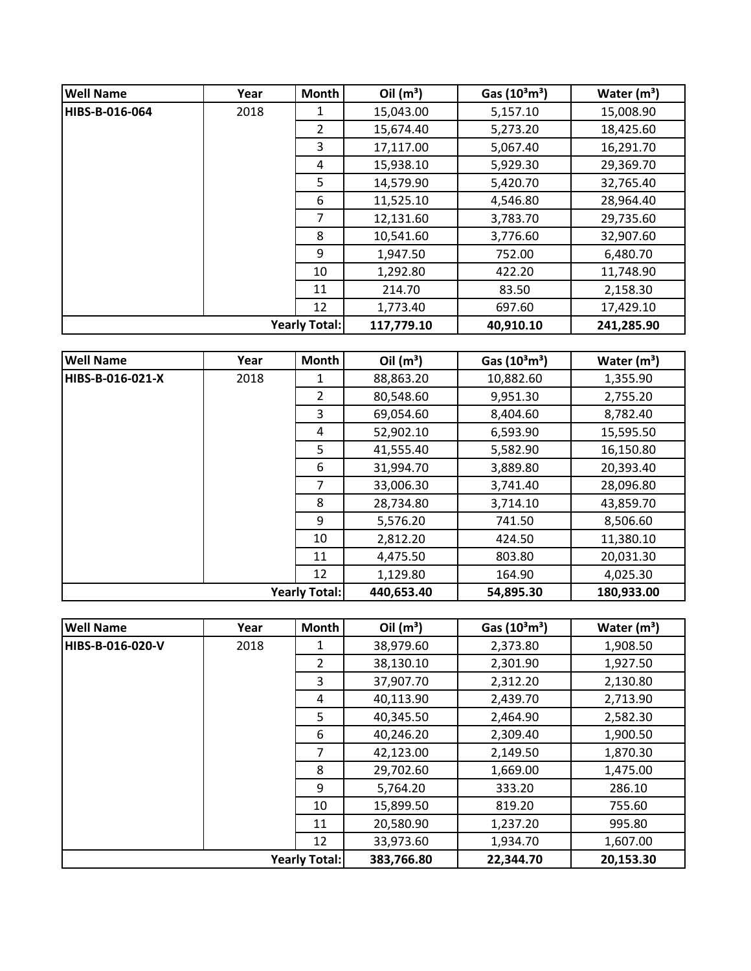| <b>Well Name</b>     | Year | <b>Month</b> | Oil $(m^3)$ | Gas $(10^3 \text{m}^3)$ | Water $(m^3)$ |
|----------------------|------|--------------|-------------|-------------------------|---------------|
| HIBS-B-016-064       | 2018 | 1            | 15,043.00   | 5,157.10                | 15,008.90     |
|                      |      | 2            | 15,674.40   | 5,273.20                | 18,425.60     |
|                      |      | 3            | 17,117.00   | 5,067.40                | 16,291.70     |
|                      |      | 4            | 15,938.10   | 5,929.30                | 29,369.70     |
|                      |      | 5.           | 14,579.90   | 5,420.70                | 32,765.40     |
|                      |      | 6            | 11,525.10   | 4,546.80                | 28,964.40     |
|                      |      | 7            | 12,131.60   | 3,783.70                | 29,735.60     |
|                      |      | 8            | 10,541.60   | 3,776.60                | 32,907.60     |
|                      |      | 9            | 1,947.50    | 752.00                  | 6,480.70      |
|                      |      | 10           | 1,292.80    | 422.20                  | 11,748.90     |
|                      |      | 11           | 214.70      | 83.50                   | 2,158.30      |
|                      |      | 12           | 1,773.40    | 697.60                  | 17,429.10     |
| <b>Yearly Total:</b> |      | 117,779.10   | 40,910.10   | 241,285.90              |               |

| <b>Well Name</b>     | Year | <b>Month</b> | Oil $(m^3)$ | Gas $(10^3 \text{m}^3)$ | Water $(m^3)$ |
|----------------------|------|--------------|-------------|-------------------------|---------------|
| HIBS-B-016-021-X     | 2018 | 1            | 88,863.20   | 10,882.60               | 1,355.90      |
|                      |      | 2            | 80,548.60   | 9,951.30                | 2,755.20      |
|                      |      | 3            | 69,054.60   | 8,404.60                | 8,782.40      |
|                      |      | 4            | 52,902.10   | 6,593.90                | 15,595.50     |
|                      |      | 5            | 41,555.40   | 5,582.90                | 16,150.80     |
|                      |      | 6            | 31,994.70   | 3,889.80                | 20,393.40     |
|                      |      | 7            | 33,006.30   | 3,741.40                | 28,096.80     |
|                      |      | 8            | 28,734.80   | 3,714.10                | 43,859.70     |
|                      |      | 9            | 5,576.20    | 741.50                  | 8,506.60      |
|                      |      | 10           | 2,812.20    | 424.50                  | 11,380.10     |
|                      |      | 11           | 4,475.50    | 803.80                  | 20,031.30     |
|                      |      | 12           | 1,129.80    | 164.90                  | 4,025.30      |
| <b>Yearly Total:</b> |      | 440,653.40   | 54,895.30   | 180,933.00              |               |

| <b>Well Name</b>     | Year | <b>Month</b>   | Oil $(m^3)$ | Gas $(10^3 \text{m}^3)$ | Water $(m^3)$ |
|----------------------|------|----------------|-------------|-------------------------|---------------|
| HIBS-B-016-020-V     | 2018 |                | 38,979.60   | 2,373.80                | 1,908.50      |
|                      |      | $\overline{2}$ | 38,130.10   | 2,301.90                | 1,927.50      |
|                      |      | 3              | 37,907.70   | 2,312.20                | 2,130.80      |
|                      |      | 4              | 40,113.90   | 2,439.70                | 2,713.90      |
|                      |      | 5              | 40,345.50   | 2,464.90                | 2,582.30      |
|                      |      | 6              | 40,246.20   | 2,309.40                | 1,900.50      |
|                      |      | 7              | 42,123.00   | 2,149.50                | 1,870.30      |
|                      |      | 8              | 29,702.60   | 1,669.00                | 1,475.00      |
|                      |      | 9              | 5,764.20    | 333.20                  | 286.10        |
|                      |      | 10             | 15,899.50   | 819.20                  | 755.60        |
|                      |      | 11             | 20,580.90   | 1,237.20                | 995.80        |
|                      |      | 12             | 33,973.60   | 1,934.70                | 1,607.00      |
| <b>Yearly Total:</b> |      | 383,766.80     | 22,344.70   | 20,153.30               |               |